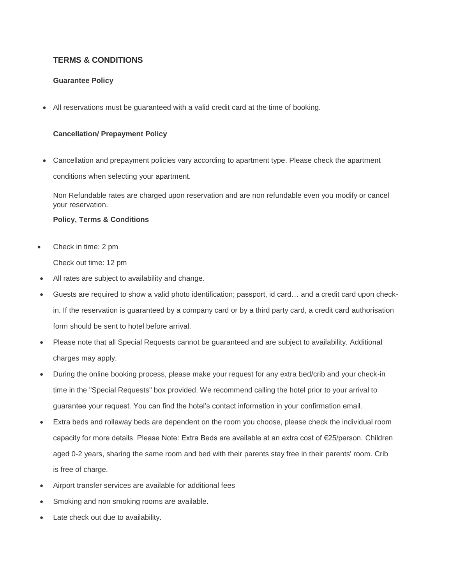## **TERMS & CONDITIONS**

## **Guarantee Policy**

All reservations must be guaranteed with a valid credit card at the time of booking.

## **Cancellation/ Prepayment Policy**

 Cancellation and prepayment policies vary according to apartment type. Please check the apartment conditions when selecting your apartment.

Non Refundable rates are charged upon reservation and are non refundable even you modify or cancel your reservation.

## **Policy, Terms & Conditions**

Check in time: 2 pm

Check out time: 12 pm

- All rates are subject to availability and change.
- Guests are required to show a valid photo identification; passport, id card… and a credit card upon checkin. If the reservation is guaranteed by a company card or by a third party card, a credit card authorisation form should be sent to hotel before arrival.
- Please note that all Special Requests cannot be guaranteed and are subject to availability. Additional charges may apply.
- During the online booking process, please make your request for any extra bed/crib and your check-in time in the "Special Requests" box provided. We recommend calling the hotel prior to your arrival to guarantee your request. You can find the hotel's contact information in your confirmation email.
- Extra beds and rollaway beds are dependent on the room you choose, please check the individual room capacity for more details. Please Note: Extra Beds are available at an extra cost of €25/person. Children aged 0-2 years, sharing the same room and bed with their parents stay free in their parents' room. Crib is free of charge.
- Airport transfer services are available for additional fees
- Smoking and non smoking rooms are available.
- Late check out due to availability.